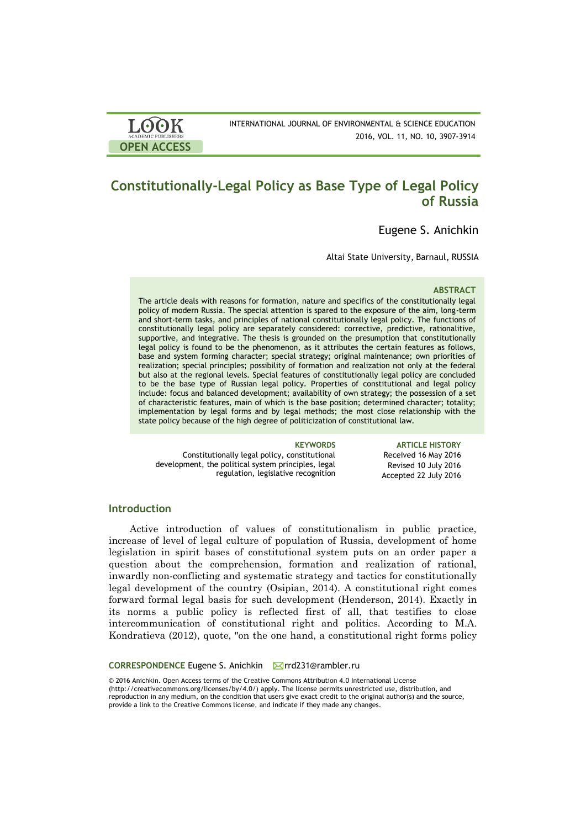# **Constitutionally-Legal Policy as Base Type of Legal Policy of Russia**

Eugene S. Anichkin

Altai State University, Barnaul, RUSSIA

#### **ABSTRACT**

The article deals with reasons for formation, nature and specifics of the constitutionally legal policy of modern Russia. The special attention is spared to the exposure of the aim, long-term and short-term tasks, and principles of national constitutionally legal policy. The functions of constitutionally legal policy are separately considered: corrective, predictive, rationalitive, supportive, and integrative. The thesis is grounded on the presumption that constitutionally legal policy is found to be the phenomenon, as it attributes the certain features as follows, base and system forming character; special strategy; original maintenance; own priorities of realization; special principles; possibility of formation and realization not only at the federal but also at the regional levels. Special features of constitutionally legal policy are concluded to be the base type of Russian legal policy. Properties of constitutional and legal policy include: focus and balanced development; availability of own strategy; the possession of a set of characteristic features, main of which is the base position; determined character; totality; implementation by legal forms and by legal methods; the most close relationship with the state policy because of the high degree of politicization of constitutional law.

Constitutionally legal policy, constitutional development, the political system principles, legal regulation, legislative recognition

**KEYWORDS ARTICLE HISTORY** Received 16 May 2016 Revised 10 July 2016 Accepted 22 July 2016

# **Introduction**

**OPEN ACCESS**

LOOK

Active introduction of values of constitutionalism in public practice, increase of level of legal culture of population of Russia, development of home legislation in spirit bases of constitutional system puts on an order paper a question about the comprehension, formation and realization of rational, inwardly non-conflicting and systematic strategy and tactics for constitutionally legal development of the country (Osipian, 2014). A constitutional right comes forward formal legal basis for such development (Henderson, 2014). Exactly in its norms a public policy is reflected first of all, that testifies to close intercommunication of constitutional right and politics. According to M.A. Kondratieva (2012), quote, "on the one hand, a constitutional right forms policy

#### **CORRESPONDENCE** Eugene S. Anichkin **M**rd231@rambler.ru

© 2016 Anichkin. Open Access terms of the Creative Commons Attribution 4.0 International License (http://creativecommons.org/licenses/by/4.0/) apply. The license permits unrestricted use, distribution, and reproduction in any medium, on the condition that users give exact credit to the original author(s) and the source, provide a link to the Creative Commons license, and indicate if they made any changes.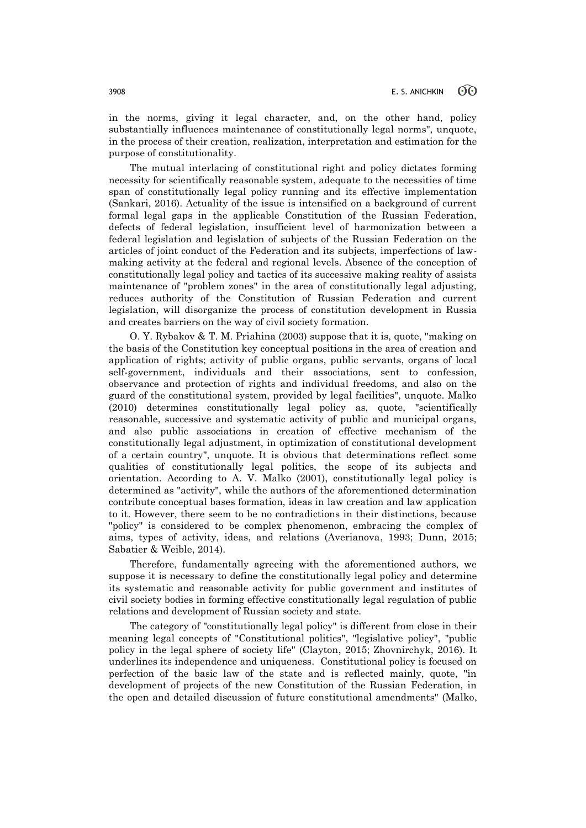in the norms, giving it legal character, and, on the other hand, policy substantially influences maintenance of constitutionally legal norms", unquote, in the process of their creation, realization, interpretation and estimation for the purpose of constitutionality.

The mutual interlacing of constitutional right and policy dictates forming necessity for scientifically reasonable system, adequate to the necessities of time span of constitutionally legal policy running and its effective implementation (Sankari, 2016). Actuality of the issue is intensified on a background of current formal legal gaps in the applicable Constitution of the Russian Federation, defects of federal legislation, insufficient level of harmonization between a federal legislation and legislation of subjects of the Russian Federation on the articles of joint conduct of the Federation and its subjects, imperfections of lawmaking activity at the federal and regional levels. Absence of the conception of constitutionally legal policy and tactics of its successive making reality of assists maintenance of "problem zones" in the area of constitutionally legal adjusting, reduces authority of the Constitution of Russian Federation and current legislation, will disorganize the process of constitution development in Russia and creates barriers on the way of civil society formation.

O. Y. Rybakov & T. M. Priahina (2003) suppose that it is, quote, "making on the basis of the Constitution key conceptual positions in the area of creation and application of rights; activity of public organs, public servants, organs of local self-government, individuals and their associations, sent to confession, observance and protection of rights and individual freedoms, and also on the guard of the constitutional system, provided by legal facilities", unquote. Мalko (2010) determines constitutionally legal policy as, quote, "scientifically reasonable, successive and systematic activity of public and municipal organs, and also public associations in creation of effective mechanism of the constitutionally legal adjustment, in optimization of constitutional development of a certain country", unquote. It is obvious that determinations reflect some qualities of constitutionally legal politics, the scope of its subjects and orientation. According to A. V. Malko (2001), constitutionally legal policy is determined as "activity", while the authors of the aforementioned determination contribute conceptual bases formation, ideas in law creation and law application to it. However, there seem to be no contradictions in their distinctions, because "policy" is considered to be complex phenomenon, embracing the complex of aims, types of activity, ideas, and relations (Averianova, 1993; Dunn, 2015; Sabatier & Weible, 2014).

Therefore, fundamentally agreeing with the aforementioned authors, we suppose it is necessary to define the constitutionally legal policy and determine its systematic and reasonable activity for public government and institutes of civil society bodies in forming effective constitutionally legal regulation of public relations and development of Russian society and state.

The category of "constitutionally legal policy" is different from close in their meaning legal concepts of "Constitutional politics", "legislative policy", "public policy in the legal sphere of society life" (Clayton, 2015; Zhovnirchyk, 2016). It underlines its independence and uniqueness. Constitutional policy is focused on perfection of the basic law of the state and is reflected mainly, quote, "in development of projects of the new Constitution of the Russian Federation, in the open and detailed discussion of future constitutional amendments" (Мalko,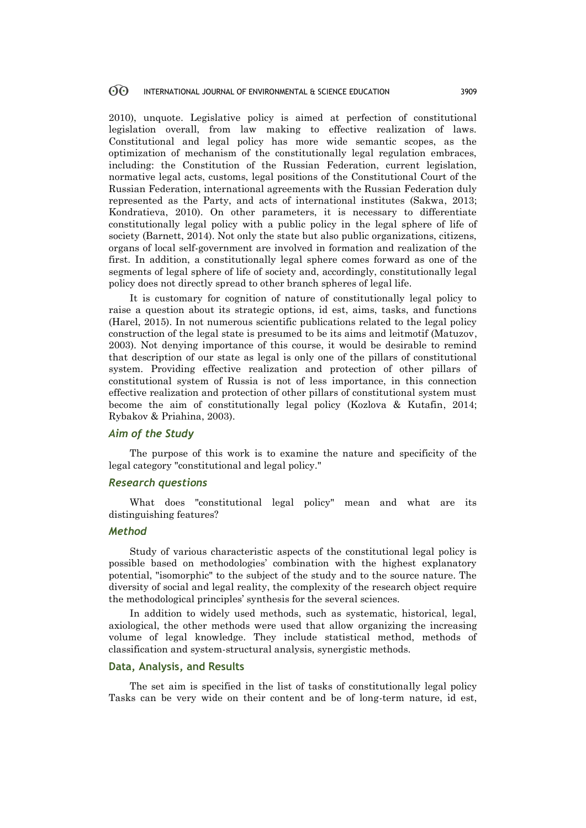#### <u>ගිල</u> INTERNATIONAL JOURNAL OF ENVIRONMENTAL & SCIENCE EDUCATION 3909

2010), unquote. Legislative policy is aimed at perfection of constitutional legislation overall, from law making to effective realization of laws. Constitutional and legal policy has more wide semantic scopes, as the optimization of mechanism of the constitutionally legal regulation embraces, including: the Constitution of the Russian Federation, current legislation, normative legal acts, customs, legal positions of the Constitutional Court of the Russian Federation, international agreements with the Russian Federation duly represented as the Party, and acts of international institutes (Sakwa, 2013; Kondratieva, 2010). On other parameters, it is necessary to differentiate constitutionally legal policy with a public policy in the legal sphere of life of society (Barnett, 2014). Not only the state but also public organizations, citizens, organs of local self-government are involved in formation and realization of the first. In addition, a constitutionally legal sphere comes forward as one of the segments of legal sphere of life of society and, accordingly, constitutionally legal policy does not directly spread to other branch spheres of legal life.

It is customary for cognition of nature of constitutionally legal policy to raise a question about its strategic options, id est, aims, tasks, and functions (Harel, 2015). In not numerous scientific publications related to the legal policy construction of the legal state is presumed to be its aims and leitmotif (Matuzov, 2003). Not denying importance of this course, it would be desirable to remind that description of our state as legal is only one of the pillars of constitutional system. Providing effective realization and protection of other pillars of constitutional system of Russia is not of less importance, in this connection effective realization and protection of other pillars of constitutional system must become the aim of constitutionally legal policy (Kozlova & Kutafin, 2014; Rybakov & Priahina, 2003).

# *Aim of the Study*

The purpose of this work is to examine the nature and specificity of the legal category "constitutional and legal policy."

# *Research questions*

What does "constitutional legal policy" mean and what are its distinguishing features?

### *Method*

Study of various characteristic aspects of the constitutional legal policy is possible based on methodologies' combination with the highest explanatory potential, "isomorphic" to the subject of the study and to the source nature. The diversity of social and legal reality, the complexity of the research object require the methodological principles' synthesis for the several sciences.

In addition to widely used methods, such as systematic, historical, legal, axiological, the other methods were used that allow organizing the increasing volume of legal knowledge. They include statistical method, methods of classification and system-structural analysis, synergistic methods.

# **Data, Analysis, and Results**

The set aim is specified in the list of tasks of constitutionally legal policy Tasks can be very wide on their content and be of long-term nature, id est,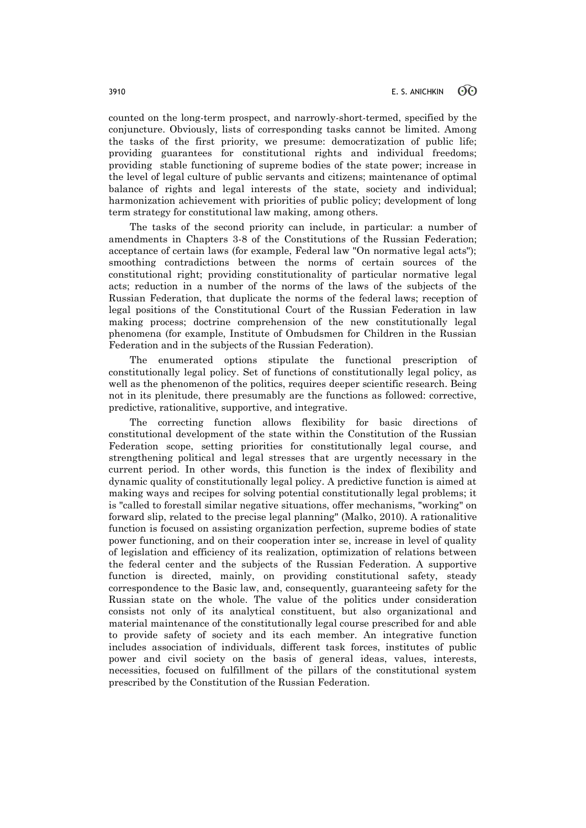counted on the long-term prospect, and narrowly-short-termed, specified by the conjuncture. Obviously, lists of corresponding tasks cannot be limited. Among the tasks of the first priority, we presume: democratization of public life; providing guarantees for constitutional rights and individual freedoms; providing stable functioning of supreme bodies of the state power; increase in the level of legal culture of public servants and citizens; maintenance of optimal balance of rights and legal interests of the state, society and individual; harmonization achievement with priorities of public policy; development of long term strategy for constitutional law making, among others.

The tasks of the second priority can include, in particular: a number of amendments in Chapters 3-8 of the Constitutions of the Russian Federation; acceptance of certain laws (for example, Federal law "On normative legal acts"); smoothing contradictions between the norms of certain sources of the constitutional right; providing constitutionality of particular normative legal acts; reduction in a number of the norms of the laws of the subjects of the Russian Federation, that duplicate the norms of the federal laws; reception of legal positions of the Constitutional Court of the Russian Federation in law making process; doctrine comprehension of the new constitutionally legal phenomena (for example, Institute of Ombudsmen for Children in the Russian Federation and in the subjects of the Russian Federation).

The enumerated options stipulate the functional prescription of constitutionally legal policy. Set of functions of constitutionally legal policy, as well as the phenomenon of the politics, requires deeper scientific research. Being not in its plenitude, there presumably are the functions as followed: corrective, predictive, rationalitive, supportive, and integrative.

The correcting function allows flexibility for basic directions of constitutional development of the state within the Constitution of the Russian Federation scope, setting priorities for constitutionally legal course, and strengthening political and legal stresses that are urgently necessary in the current period. In other words, this function is the index of flexibility and dynamic quality of constitutionally legal policy. A predictive function is aimed at making ways and recipes for solving potential constitutionally legal problems; it is "called to forestall similar negative situations, offer mechanisms, "working" on forward slip, related to the precise legal planning" (Malko, 2010). A rationalitive function is focused on assisting organization perfection, supreme bodies of state power functioning, and on their cooperation inter se, increase in level of quality of legislation and efficiency of its realization, optimization of relations between the federal center and the subjects of the Russian Federation. A supportive function is directed, mainly, on providing constitutional safety, steady correspondence to the Basic law, and, consequently, guaranteeing safety for the Russian state on the whole. The value of the politics under consideration consists not only of its analytical constituent, but also organizational and material maintenance of the constitutionally legal course prescribed for and able to provide safety of society and its each member. An integrative function includes association of individuals, different task forces, institutes of public power and civil society on the basis of general ideas, values, interests, necessities, focused on fulfillment of the pillars of the constitutional system prescribed by the Constitution of the Russian Federation.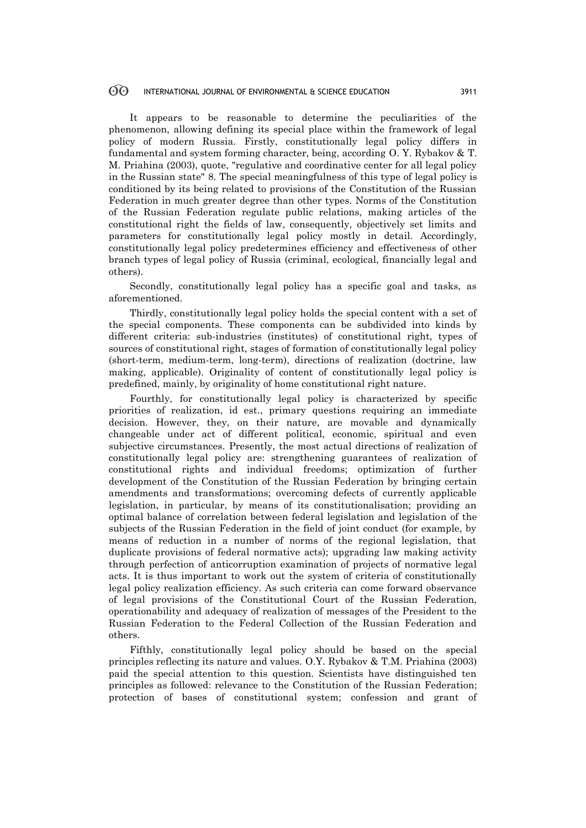#### 60 INTERNATIONAL JOURNAL OF ENVIRONMENTAL & SCIENCE EDUCATION 3911

It appears to be reasonable to determine the peculiarities of the phenomenon, allowing defining its special place within the framework of legal policy of modern Russia. Firstly, constitutionally legal policy differs in fundamental and system forming character, being, according O. Y. Rybakov & T. M. Priahina (2003), quote, "regulative and coordinative center for all legal policy in the Russian state" 8. The special meaningfulness of this type of legal policy is conditioned by its being related to provisions of the Constitution of the Russian Federation in much greater degree than other types. Norms of the Constitution of the Russian Federation regulate public relations, making articles of the constitutional right the fields of law, consequently, objectively set limits and parameters for constitutionally legal policy mostly in detail. Accordingly, constitutionally legal policy predetermines efficiency and effectiveness of other branch types of legal policy of Russia (criminal, ecological, financially legal and others).

Secondly, constitutionally legal policy has a specific goal and tasks, as aforementioned.

Thirdly, constitutionally legal policy holds the special content with a set of the special components. These components can be subdivided into kinds by different criteria: sub-industries (institutes) of constitutional right, types of sources of constitutional right, stages of formation of constitutionally legal policy (short-term, medium-term, long-term), directions of realization (doctrine, law making, applicable). Originality of content of constitutionally legal policy is predefined, mainly, by originality of home constitutional right nature.

Fourthly, for constitutionally legal policy is characterized by specific priorities of realization, id est., primary questions requiring an immediate decision. However, they, on their nature, are movable and dynamically changeable under act of different political, economic, spiritual and even subjective circumstances. Presently, the most actual directions of realization of constitutionally legal policy are: strengthening guarantees of realization of constitutional rights and individual freedoms; optimization of further development of the Constitution of the Russian Federation by bringing certain amendments and transformations; overcoming defects of currently applicable legislation, in particular, by means of its constitutionalisation; providing an optimal balance of correlation between federal legislation and legislation of the subjects of the Russian Federation in the field of joint conduct (for example, by means of reduction in a number of norms of the regional legislation, that duplicate provisions of federal normative acts); upgrading law making activity through perfection of anticorruption examination of projects of normative legal acts. It is thus important to work out the system of criteria of constitutionally legal policy realization efficiency. As such criteria can come forward observance of legal provisions of the Constitutional Court of the Russian Federation, operationability and adequacy of realization of messages of the President to the Russian Federation to the Federal Collection of the Russian Federation and others.

Fifthly, constitutionally legal policy should be based on the special principles reflecting its nature and values. O.Y. Rybakov & T.M. Priahina (2003) paid the special attention to this question. Scientists have distinguished ten principles as followed: relevance to the Constitution of the Russian Federation; protection of bases of constitutional system; confession and grant of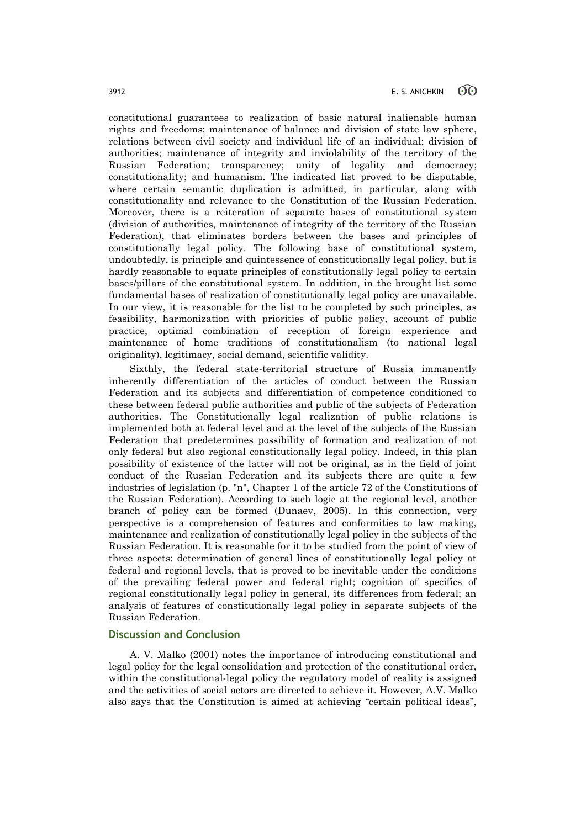constitutional guarantees to realization of basic natural inalienable human rights and freedoms; maintenance of balance and division of state law sphere, relations between civil society and individual life of an individual; division of authorities; maintenance of integrity and inviolability of the territory of the Russian Federation; transparency; unity of legality and democracy; constitutionality; and humanism. The indicated list proved to be disputable, where certain semantic duplication is admitted, in particular, along with constitutionality and relevance to the Constitution of the Russian Federation. Moreover, there is a reiteration of separate bases of constitutional system (division of authorities, maintenance of integrity of the territory of the Russian Federation), that eliminates borders between the bases and principles of constitutionally legal policy. The following base of constitutional system, undoubtedly, is principle and quintessence of constitutionally legal policy, but is hardly reasonable to equate principles of constitutionally legal policy to certain bases/pillars of the constitutional system. In addition, in the brought list some fundamental bases of realization of constitutionally legal policy are unavailable. In our view, it is reasonable for the list to be completed by such principles, as feasibility, harmonization with priorities of public policy, account of public practice, optimal combination of reception of foreign experience and maintenance of home traditions of constitutionalism (to national legal originality), legitimacy, social demand, scientific validity.

Sixthly, the federal state-territorial structure of Russia immanently inherently differentiation of the articles of conduct between the Russian Federation and its subjects and differentiation of competence conditioned to these between federal public authorities and public of the subjects of Federation authorities. The Constitutionally legal realization of public relations is implemented both at federal level and at the level of the subjects of the Russian Federation that predetermines possibility of formation and realization of not only federal but also regional constitutionally legal policy. Indeed, in this plan possibility of existence of the latter will not be original, as in the field of joint conduct of the Russian Federation and its subjects there are quite a few industries of legislation (p. "n", Chapter 1 of the article 72 of the Constitutions of the Russian Federation). According to such logic at the regional level, another branch of policy can be formed (Dunaev, 2005). In this connection, very perspective is a comprehension of features and conformities to law making, maintenance and realization of constitutionally legal policy in the subjects of the Russian Federation. It is reasonable for it to be studied from the point of view of three aspects: determination of general lines of constitutionally legal policy at federal and regional levels, that is proved to be inevitable under the conditions of the prevailing federal power and federal right; cognition of specifics of regional constitutionally legal policy in general, its differences from federal; an analysis of features of constitutionally legal policy in separate subjects of the Russian Federation.

### **Discussion and Conclusion**

A. V. Malko (2001) notes the importance of introducing constitutional and legal policy for the legal consolidation and protection of the constitutional order, within the constitutional-legal policy the regulatory model of reality is assigned and the activities of social actors are directed to achieve it. However, A.V. Malko also says that the Constitution is aimed at achieving "certain political ideas",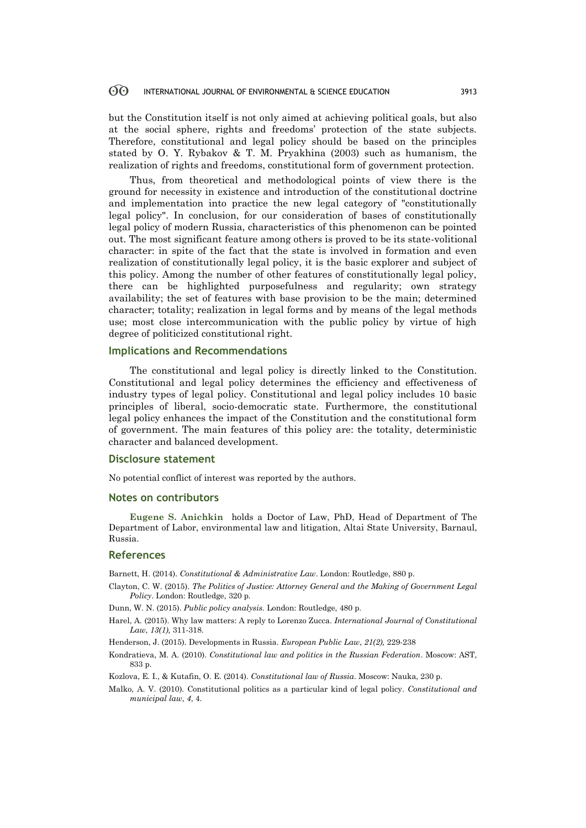#### 60 INTERNATIONAL JOURNAL OF ENVIRONMENTAL & SCIENCE EDUCATION 3913

but the Constitution itself is not only aimed at achieving political goals, but also at the social sphere, rights and freedoms' protection of the state subjects. Therefore, constitutional and legal policy should be based on the principles stated by O. Y. Rybakov & T. M. Pryakhina (2003) such as humanism, the realization of rights and freedoms, constitutional form of government protection.

Thus, from theoretical and methodological points of view there is the ground for necessity in existence and introduction of the constitutional doctrine and implementation into practice the new legal category of "constitutionally legal policy". In conclusion, for our consideration of bases of constitutionally legal policy of modern Russia, characteristics of this phenomenon can be pointed out. The most significant feature among others is proved to be its state-volitional character: in spite of the fact that the state is involved in formation and even realization of constitutionally legal policy, it is the basic explorer and subject of this policy. Among the number of other features of constitutionally legal policy, there can be highlighted purposefulness and regularity; own strategy availability; the set of features with base provision to be the main; determined character; totality; realization in legal forms and by means of the legal methods use; most close intercommunication with the public policy by virtue of high degree of politicized constitutional right.

### **Implications and Recommendations**

The constitutional and legal policy is directly linked to the Constitution. Constitutional and legal policy determines the efficiency and effectiveness of industry types of legal policy. Constitutional and legal policy includes 10 basic principles of liberal, socio-democratic state. Furthermore, the constitutional legal policy enhances the impact of the Constitution and the constitutional form of government. The main features of this policy are: the totality, deterministic character and balanced development.

### **Disclosure statement**

No potential conflict of interest was reported by the authors.

#### **Notes on contributors**

**Eugene S. Anichkin** holds a Doctor of Law, PhD, Head of Department of The Department of Labor, environmental law and litigation, Altai State University, Barnaul, Russia.

#### **References**

Barnett, H. (2014). *Constitutional & Administrative Law*. London: Routledge, 880 p.

- Clayton, C. W. (2015). *The Politics of Justice: Attorney General and the Making of Government Legal Policy*. London: Routledge, 320 p.
- Dunn, W. N. (2015). *Public policy analysis.* London: Routledge, 480 p.
- Harel, A. (2015). Why law matters: A reply to Lorenzo Zucca. *International Journal of Constitutional Law*, *13(1),* 311-318.
- Henderson, J. (2015). Developments in Russia. *European Public Law*, *21(2),* 229-238
- Kondratieva, М. А. (2010). *Constitutional law and politics in the Russian Federation*. Moscow: AST, 833 p.
- Kozlova, E. I., & Kutafin, O. E. (2014). *Constitutional law of Russia*. Moscow: Nauka, 230 p.
- Malko, A. V. (2010). Constitutional politics as a particular kind of legal policy. *Constitutional and municipal law*, *4*, 4.